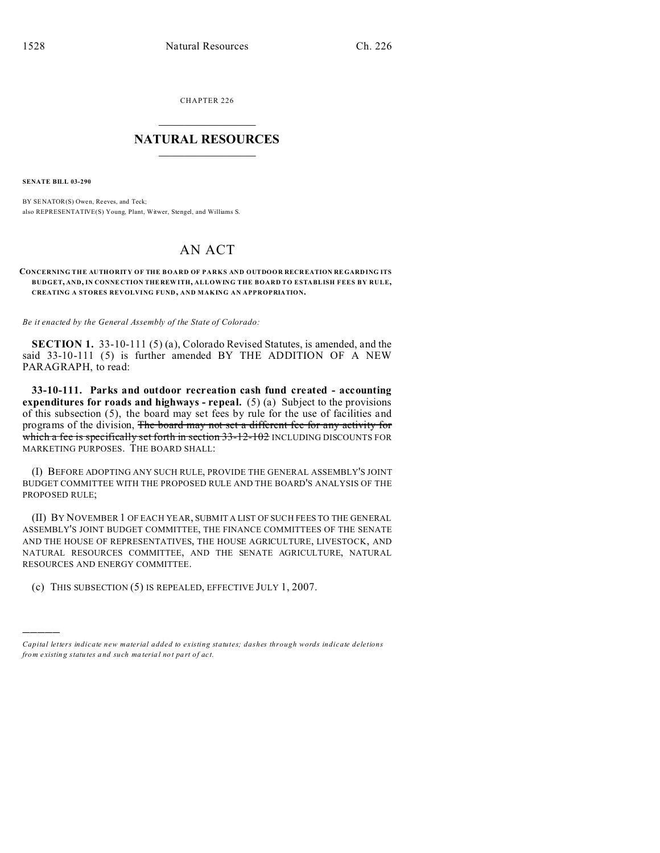CHAPTER 226  $\overline{\phantom{a}}$  , where  $\overline{\phantom{a}}$ 

## **NATURAL RESOURCES**  $\frac{1}{\sqrt{2}}$  ,  $\frac{1}{\sqrt{2}}$  ,  $\frac{1}{\sqrt{2}}$  ,  $\frac{1}{\sqrt{2}}$  ,  $\frac{1}{\sqrt{2}}$  ,  $\frac{1}{\sqrt{2}}$

**SENATE BILL 03-290**

)))))

BY SENATOR(S) Owen, Reeves, and Teck; also REPRESENTATIVE(S) Young, Plant, Witwer, Stengel, and Williams S.

## AN ACT

## **CONCERNING THE AUTHORITY OF THE BOARD OF PARKS AND OUTDOOR RECR EATION RE GARD ING ITS BUDGET, AND, IN CONNE CTION THE REWITH, ALLOWING THE BOARD TO ESTABLISH FEES BY RULE, CREATING A STORES REVOLVING FUND, AND MAKING AN APPROPRIATION.**

*Be it enacted by the General Assembly of the State of Colorado:*

**SECTION 1.** 33-10-111 (5) (a), Colorado Revised Statutes, is amended, and the said 33-10-111 (5) is further amended BY THE ADDITION OF A NEW PARAGRAPH, to read:

**33-10-111. Parks and outdoor recreation cash fund created - accounting expenditures for roads and highways - repeal.** (5) (a) Subject to the provisions of this subsection (5), the board may set fees by rule for the use of facilities and programs of the division, The board may not set a different fee for any activity for which a fee is specifically set forth in section 33-12-102 INCLUDING DISCOUNTS FOR MARKETING PURPOSES. THE BOARD SHALL:

(I) BEFORE ADOPTING ANY SUCH RULE, PROVIDE THE GENERAL ASSEMBLY'S JOINT BUDGET COMMITTEE WITH THE PROPOSED RULE AND THE BOARD'S ANALYSIS OF THE PROPOSED RULE;

(II) BY NOVEMBER 1 OF EACH YEAR, SUBMIT A LIST OF SUCH FEES TO THE GENERAL ASSEMBLY'S JOINT BUDGET COMMITTEE, THE FINANCE COMMITTEES OF THE SENATE AND THE HOUSE OF REPRESENTATIVES, THE HOUSE AGRICULTURE, LIVESTOCK, AND NATURAL RESOURCES COMMITTEE, AND THE SENATE AGRICULTURE, NATURAL RESOURCES AND ENERGY COMMITTEE.

(c) THIS SUBSECTION (5) IS REPEALED, EFFECTIVE JULY 1, 2007.

*Capital letters indicate new material added to existing statutes; dashes through words indicate deletions from e xistin g statu tes a nd such ma teria l no t pa rt of ac t.*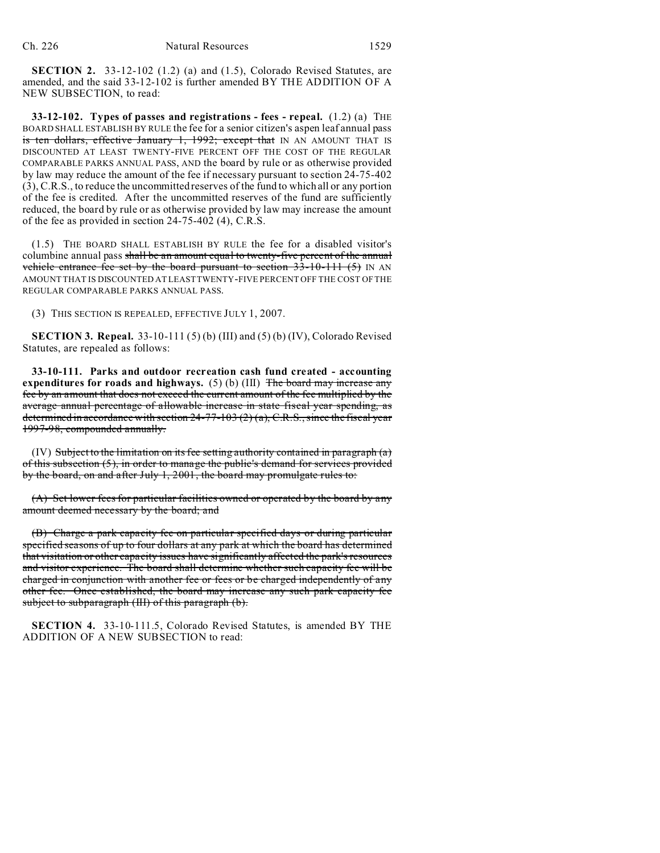**SECTION 2.** 33-12-102 (1.2) (a) and (1.5), Colorado Revised Statutes, are amended, and the said 33-12-102 is further amended BY THE ADDITION OF A NEW SUBSECTION, to read:

**33-12-102. Types of passes and registrations - fees - repeal.** (1.2) (a) THE BOARD SHALL ESTABLISH BY RULE the fee for a senior citizen's aspen leaf annual pass is ten dollars, effective January 1, 1992; except that IN AN AMOUNT THAT IS DISCOUNTED AT LEAST TWENTY-FIVE PERCENT OFF THE COST OF THE REGULAR COMPARABLE PARKS ANNUAL PASS, AND the board by rule or as otherwise provided by law may reduce the amount of the fee if necessary pursuant to section 24-75-402 (3), C.R.S., to reduce the uncommitted reserves of the fund to which all or any portion of the fee is credited. After the uncommitted reserves of the fund are sufficiently reduced, the board by rule or as otherwise provided by law may increase the amount of the fee as provided in section 24-75-402 (4), C.R.S.

(1.5) THE BOARD SHALL ESTABLISH BY RULE the fee for a disabled visitor's columbine annual pass shall be an amount equal to twenty-five percent of the annual vehicle entrance fee set by the board pursuant to section  $33-10-111$  (5)</del> IN AN AMOUNT THAT IS DISCOUNTED AT LEAST TWENTY-FIVE PERCENT OFF THE COST OF THE REGULAR COMPARABLE PARKS ANNUAL PASS.

(3) THIS SECTION IS REPEALED, EFFECTIVE JULY 1, 2007.

**SECTION 3. Repeal.** 33-10-111 (5) (b) (III) and (5) (b) (IV), Colorado Revised Statutes, are repealed as follows:

**33-10-111. Parks and outdoor recreation cash fund created - accounting expenditures for roads and highways.** (5) (b) (III) The board may increase any fee by an amount that does not exceed the current amount of the fee multiplied by the average annual percentage of allowable increase in state fiscal year spending, as determined in accordance with section  $24-77-103(2)$  (a), C.R.S., since the fiscal year 1997-98, compounded annually.

(IV) Subject to the limitation on its fee setting authority contained in paragraph  $(a)$ of this subsection (5), in order to manage the public's demand for services provided by the board, on and after July 1, 2001, the board may promulgate rules to:

(A) Set lower fees for particular facilities owned or operated by the board by any amount deemed necessary by the board; and

(B) Charge a park capacity fee on particular specified days or during particular specified seasons of up to four dollars at any park at which the board has determined that visitation or other capacity issues have significantly affected the park's resources and visitor experience. The board shall determine whether such capacity fee will be charged in conjunction with another fee or fees or be charged independently of any other fee. Once established, the board may increase any such park capacity fee subject to subparagraph (III) of this paragraph (b).

**SECTION 4.** 33-10-111.5, Colorado Revised Statutes, is amended BY THE ADDITION OF A NEW SUBSECTION to read: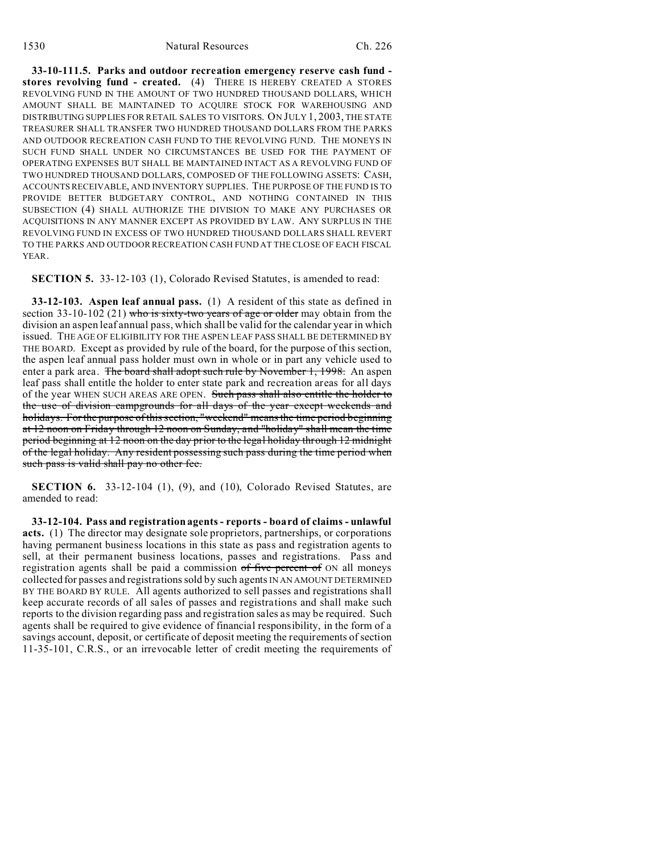**33-10-111.5. Parks and outdoor recreation emergency reserve cash fund stores revolving fund - created.** (4) THERE IS HEREBY CREATED A STORES REVOLVING FUND IN THE AMOUNT OF TWO HUNDRED THOUSAND DOLLARS, WHICH AMOUNT SHALL BE MAINTAINED TO ACQUIRE STOCK FOR WAREHOUSING AND DISTRIBUTING SUPPLIES FOR RETAIL SALES TO VISITORS. ON JULY 1, 2003, THE STATE TREASURER SHALL TRANSFER TWO HUNDRED THOUSAND DOLLARS FROM THE PARKS AND OUTDOOR RECREATION CASH FUND TO THE REVOLVING FUND. THE MONEYS IN SUCH FUND SHALL UNDER NO CIRCUMSTANCES BE USED FOR THE PAYMENT OF OPERATING EXPENSES BUT SHALL BE MAINTAINED INTACT AS A REVOLVING FUND OF TWO HUNDRED THOUSAND DOLLARS, COMPOSED OF THE FOLLOWING ASSETS: CASH, ACCOUNTS RECEIVABLE, AND INVENTORY SUPPLIES. THE PURPOSE OF THE FUND IS TO PROVIDE BETTER BUDGETARY CONTROL, AND NOTHING CONTAINED IN THIS SUBSECTION (4) SHALL AUTHORIZE THE DIVISION TO MAKE ANY PURCHASES OR ACQUISITIONS IN ANY MANNER EXCEPT AS PROVIDED BY LAW. ANY SURPLUS IN THE REVOLVING FUND IN EXCESS OF TWO HUNDRED THOUSAND DOLLARS SHALL REVERT TO THE PARKS AND OUTDOOR RECREATION CASH FUND AT THE CLOSE OF EACH FISCAL YEAR.

**SECTION 5.** 33-12-103 (1), Colorado Revised Statutes, is amended to read:

**33-12-103. Aspen leaf annual pass.** (1) A resident of this state as defined in section 33-10-102 (21) who is sixty-two years of age or older may obtain from the division an aspen leaf annual pass, which shall be valid for the calendar year in which issued. THE AGE OF ELIGIBILITY FOR THE ASPEN LEAF PASS SHALL BE DETERMINED BY THE BOARD. Except as provided by rule of the board, for the purpose of this section, the aspen leaf annual pass holder must own in whole or in part any vehicle used to enter a park area. The board shall adopt such rule by November 1, 1998. An aspen leaf pass shall entitle the holder to enter state park and recreation areas for all days of the year WHEN SUCH AREAS ARE OPEN. Such pass shall also entitle the holder to the use of division campgrounds for all days of the year except weekends and holidays. For the purpose of this section, "weekend" means the time period beginning at 12 noon on Friday through 12 noon on Sunday, and "holiday" shall mean the time period beginning at 12 noon on the day prior to the legal holiday through 12 midnight of the legal holiday. Any resident possessing such pass during the time period when such pass is valid shall pay no other fee.

**SECTION 6.** 33-12-104 (1), (9), and (10), Colorado Revised Statutes, are amended to read:

**33-12-104. Pass and registration agents - reports - board of claims - unlawful acts.** (1) The director may designate sole proprietors, partnerships, or corporations having permanent business locations in this state as pass and registration agents to sell, at their permanent business locations, passes and registrations. Pass and registration agents shall be paid a commission of five percent of ON all moneys collected for passes and registrations sold by such agents IN AN AMOUNT DETERMINED BY THE BOARD BY RULE. All agents authorized to sell passes and registrations shall keep accurate records of all sales of passes and registrations and shall make such reports to the division regarding pass and registration sales as may be required. Such agents shall be required to give evidence of financial responsibility, in the form of a savings account, deposit, or certificate of deposit meeting the requirements of section 11-35-101, C.R.S., or an irrevocable letter of credit meeting the requirements of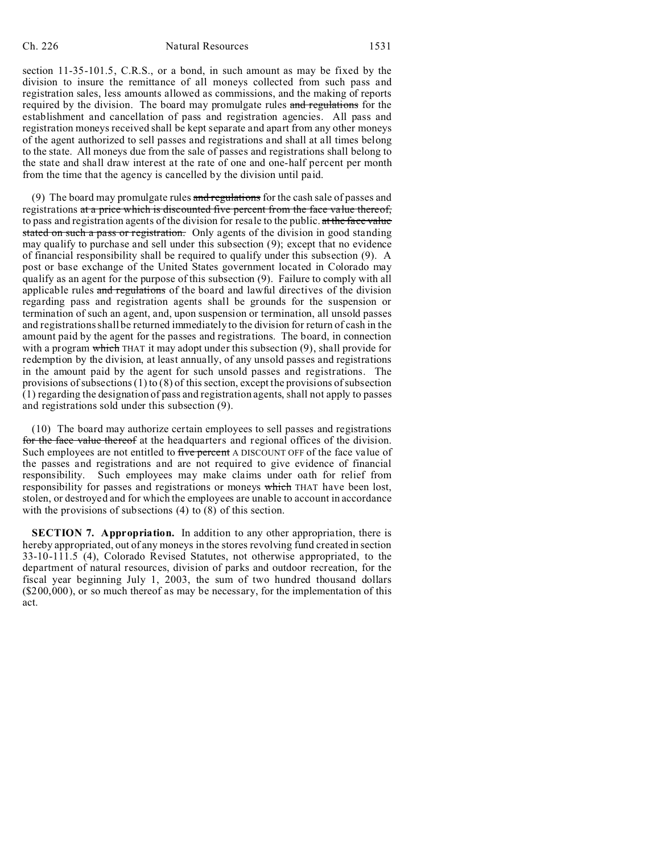section 11-35-101.5, C.R.S., or a bond, in such amount as may be fixed by the division to insure the remittance of all moneys collected from such pass and registration sales, less amounts allowed as commissions, and the making of reports required by the division. The board may promulgate rules and regulations for the establishment and cancellation of pass and registration agencies. All pass and registration moneys received shall be kept separate and apart from any other moneys of the agent authorized to sell passes and registrations and shall at all times belong to the state. All moneys due from the sale of passes and registrations shall belong to the state and shall draw interest at the rate of one and one-half percent per month from the time that the agency is cancelled by the division until paid.

(9) The board may promulgate rules and regulations for the cash sale of passes and registrations at a price which is discounted five percent from the face value thereof, to pass and registration agents of the division for resale to the public. at the face value stated on such a pass or registration. Only agents of the division in good standing may qualify to purchase and sell under this subsection (9); except that no evidence of financial responsibility shall be required to qualify under this subsection (9). A post or base exchange of the United States government located in Colorado may qualify as an agent for the purpose of this subsection (9). Failure to comply with all applicable rules and regulations of the board and lawful directives of the division regarding pass and registration agents shall be grounds for the suspension or termination of such an agent, and, upon suspension or termination, all unsold passes and registrations shall be returned immediately to the division for return of cash in the amount paid by the agent for the passes and registrations. The board, in connection with a program which THAT it may adopt under this subsection  $(9)$ , shall provide for redemption by the division, at least annually, of any unsold passes and registrations in the amount paid by the agent for such unsold passes and registrations. The provisions of subsections  $(1)$  to  $(8)$  of this section, except the provisions of subsection (1) regarding the designation of pass and registration agents, shall not apply to passes and registrations sold under this subsection (9).

(10) The board may authorize certain employees to sell passes and registrations for the face value thereof at the headquarters and regional offices of the division. Such employees are not entitled to five percent A DISCOUNT OFF of the face value of the passes and registrations and are not required to give evidence of financial responsibility. Such employees may make claims under oath for relief from responsibility for passes and registrations or moneys which THAT have been lost, stolen, or destroyed and for which the employees are unable to account in accordance with the provisions of subsections (4) to (8) of this section.

**SECTION 7. Appropriation.** In addition to any other appropriation, there is hereby appropriated, out of any moneys in the stores revolving fund created in section 33-10-111.5 (4), Colorado Revised Statutes, not otherwise appropriated, to the department of natural resources, division of parks and outdoor recreation, for the fiscal year beginning July 1, 2003, the sum of two hundred thousand dollars (\$200,000), or so much thereof as may be necessary, for the implementation of this act.